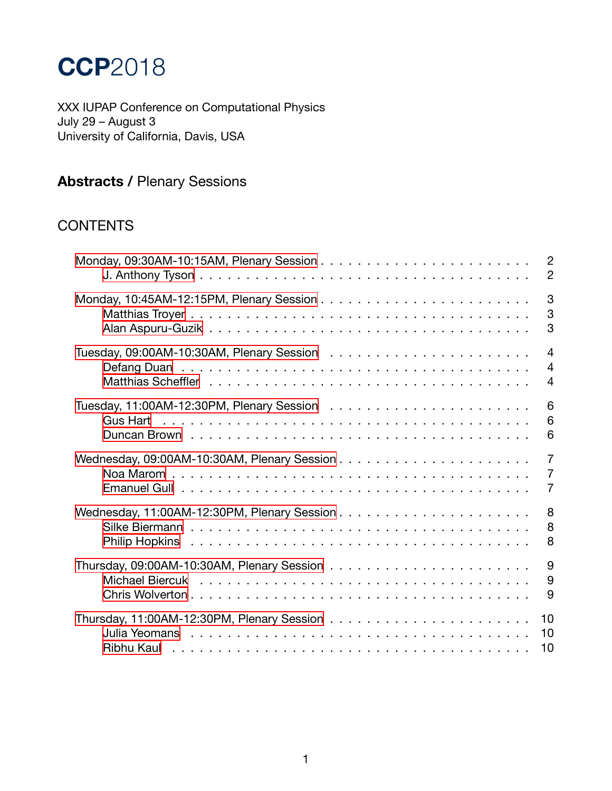# **CCP**2018

XXX IUPAP Conference on Computational Physics July 29 – August 3 University of California, Davis, USA

## **Abstracts /** Plenary Sessions

### **CONTENTS**

|                                                                                                                 | $\overline{2}$ |
|-----------------------------------------------------------------------------------------------------------------|----------------|
|                                                                                                                 | $\overline{2}$ |
|                                                                                                                 | 3              |
|                                                                                                                 | 3              |
|                                                                                                                 | 3              |
|                                                                                                                 | $\overline{4}$ |
|                                                                                                                 | $\overline{4}$ |
|                                                                                                                 | $\overline{4}$ |
|                                                                                                                 | 6              |
|                                                                                                                 | 6              |
|                                                                                                                 | 6              |
|                                                                                                                 | $\overline{7}$ |
|                                                                                                                 | $\overline{7}$ |
|                                                                                                                 | $\overline{7}$ |
|                                                                                                                 | 8              |
|                                                                                                                 | 8              |
|                                                                                                                 | 8              |
|                                                                                                                 | 9              |
|                                                                                                                 | 9              |
|                                                                                                                 | 9              |
|                                                                                                                 | 10             |
| Julia Yeomans researched and the serve that is a server that is a server that is a server that is a server that | 10             |
|                                                                                                                 | 10             |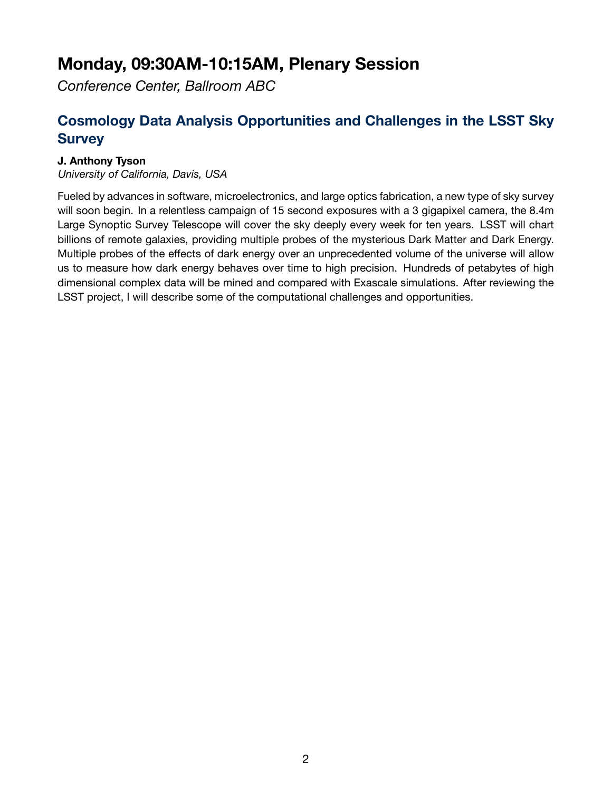## <span id="page-1-0"></span>**Monday, 09:30AM-10:15AM, Plenary Session**

*Conference Center, Ballroom ABC*

### <span id="page-1-1"></span>**Cosmology Data Analysis Opportunities and Challenges in the LSST Sky Survey**

#### **J. Anthony Tyson**

*University of California, Davis, USA*

Fueled by advances in software, microelectronics, and large optics fabrication, a new type of sky survey will soon begin. In a relentless campaign of 15 second exposures with a 3 gigapixel camera, the 8.4m Large Synoptic Survey Telescope will cover the sky deeply every week for ten years. LSST will chart billions of remote galaxies, providing multiple probes of the mysterious Dark Matter and Dark Energy. Multiple probes of the effects of dark energy over an unprecedented volume of the universe will allow us to measure how dark energy behaves over time to high precision. Hundreds of petabytes of high dimensional complex data will be mined and compared with Exascale simulations. After reviewing the LSST project, I will describe some of the computational challenges and opportunities.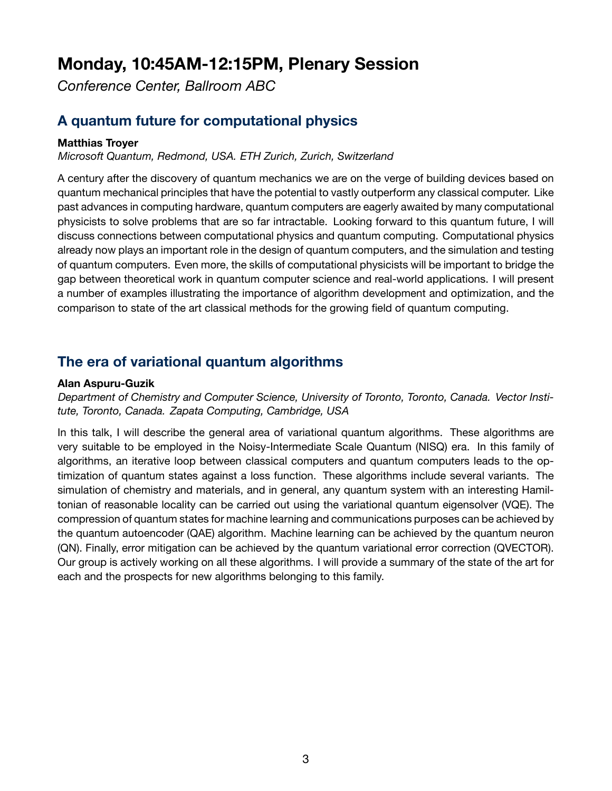## <span id="page-2-0"></span>**Monday, 10:45AM-12:15PM, Plenary Session**

*Conference Center, Ballroom ABC*

### <span id="page-2-1"></span>**A quantum future for computational physics**

#### **Matthias Troyer**

*Microsoft Quantum, Redmond, USA. ETH Zurich, Zurich, Switzerland*

A century after the discovery of quantum mechanics we are on the verge of building devices based on quantum mechanical principles that have the potential to vastly outperform any classical computer. Like past advances in computing hardware, quantum computers are eagerly awaited by many computational physicists to solve problems that are so far intractable. Looking forward to this quantum future, I will discuss connections between computational physics and quantum computing. Computational physics already now plays an important role in the design of quantum computers, and the simulation and testing of quantum computers. Even more, the skills of computational physicists will be important to bridge the gap between theoretical work in quantum computer science and real-world applications. I will present a number of examples illustrating the importance of algorithm development and optimization, and the comparison to state of the art classical methods for the growing field of quantum computing.

### **The era of variational quantum algorithms**

#### **Alan Aspuru-Guzik**

*Department of Chemistry and Computer Science, University of Toronto, Toronto, Canada. Vector Institute, Toronto, Canada. Zapata Computing, Cambridge, USA*

In this talk, I will describe the general area of variational quantum algorithms. These algorithms are very suitable to be employed in the Noisy-Intermediate Scale Quantum (NISQ) era. In this family of algorithms, an iterative loop between classical computers and quantum computers leads to the optimization of quantum states against a loss function. These algorithms include several variants. The simulation of chemistry and materials, and in general, any quantum system with an interesting Hamiltonian of reasonable locality can be carried out using the variational quantum eigensolver (VQE). The compression of quantum states for machine learning and communications purposes can be achieved by the quantum autoencoder (QAE) algorithm. Machine learning can be achieved by the quantum neuron (QN). Finally, error mitigation can be achieved by the quantum variational error correction (QVECTOR). Our group is actively working on all these algorithms. I will provide a summary of the state of the art for each and the prospects for new algorithms belonging to this family.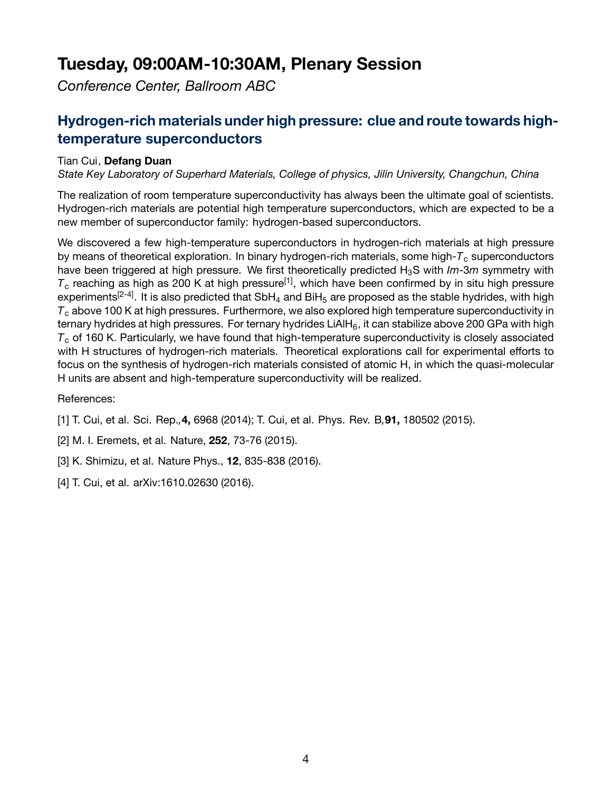## <span id="page-3-0"></span>**Tuesday, 09:00AM-10:30AM, Plenary Session**

*Conference Center, Ballroom ABC*

### <span id="page-3-1"></span>**Hydrogen-rich materials under high pressure: clue and route towards hightemperature superconductors**

#### Tian Cui, **Defang Duan**

*State Key Laboratory of Superhard Materials, College of physics, Jilin University, Changchun, China*

The realization of room temperature superconductivity has always been the ultimate goal of scientists. Hydrogen-rich materials are potential high temperature superconductors, which are expected to be a new member of superconductor family: hydrogen-based superconductors.

We discovered a few high-temperature superconductors in hydrogen-rich materials at high pressure by means of theoretical exploration. In binary hydrogen-rich materials, some high-*T*<sup>c</sup> superconductors have been triggered at high pressure. We first theoretically predicted H<sub>3</sub>S with *Im-3m* symmetry with  $T_c$  reaching as high as 200 K at high pressure<sup>[1]</sup>, which have been confirmed by in situ high pressure experiments<sup>[2-4]</sup>. It is also predicted that SbH<sub>4</sub> and BiH<sub>5</sub> are proposed as the stable hydrides, with high *T*<sup>c</sup> above 100 K at high pressures. Furthermore, we also explored high temperature superconductivity in ternary hydrides at high pressures. For ternary hydrides LiAIH<sub>6</sub>, it can stabilize above 200 GPa with high  $T<sub>c</sub>$  of 160 K. Particularly, we have found that high-temperature superconductivity is closely associated with H structures of hydrogen-rich materials. Theoretical explorations call for experimental efforts to focus on the synthesis of hydrogen-rich materials consisted of atomic H, in which the quasi-molecular H units are absent and high-temperature superconductivity will be realized.

#### References:

- [1] T. Cui, et al. Sci. Rep.*,***4,** 6968 (2014); T. Cui, et al. Phys. Rev. B*,***91,** 180502 (2015).
- [2] M. I. Eremets, et al. Nature, **252**, 73-76 (2015).
- [3] K. Shimizu, et al. Nature Phys., **12**, 835-838 (2016).
- [4] T. Cui, et al. arXiv:1610.02630 (2016).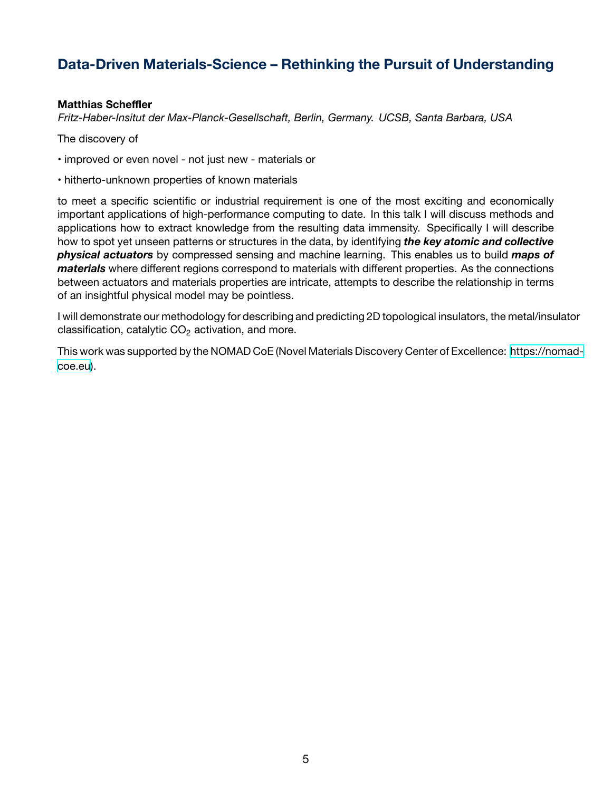### **Data-Driven Materials-Science – Rethinking the Pursuit of Understanding**

#### **Matthias Scheffler**

*Fritz-Haber-Insitut der Max-Planck-Gesellschaft, Berlin, Germany. UCSB, Santa Barbara, USA*

The discovery of

• improved or even novel - not just new - materials or

• hitherto-unknown properties of known materials

to meet a specific scientific or industrial requirement is one of the most exciting and economically important applications of high-performance computing to date. In this talk I will discuss methods and applications how to extract knowledge from the resulting data immensity. Specifically I will describe how to spot yet unseen patterns or structures in the data, by identifying *the key atomic and collective physical actuators* by compressed sensing and machine learning. This enables us to build *maps of materials* where different regions correspond to materials with different properties. As the connections between actuators and materials properties are intricate, attempts to describe the relationship in terms of an insightful physical model may be pointless.

I will demonstrate our methodology for describing and predicting 2D topological insulators, the metal/insulator classification, catalytic  $CO<sub>2</sub>$  activation, and more.

This work was supported by the NOMAD CoE (Novel Materials Discovery Center of Excellence: [https://nomad](https://nomad-coe.eu)[coe.eu\)](https://nomad-coe.eu).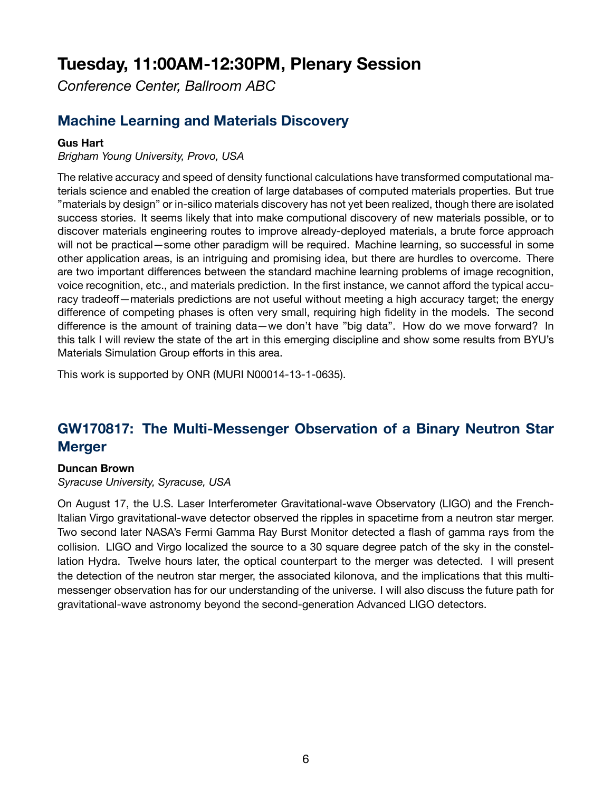## <span id="page-5-0"></span>**Tuesday, 11:00AM-12:30PM, Plenary Session**

*Conference Center, Ballroom ABC*

### <span id="page-5-1"></span>**Machine Learning and Materials Discovery**

#### **Gus Hart**

*Brigham Young University, Provo, USA*

The relative accuracy and speed of density functional calculations have transformed computational materials science and enabled the creation of large databases of computed materials properties. But true "materials by design" or in-silico materials discovery has not yet been realized, though there are isolated success stories. It seems likely that into make computional discovery of new materials possible, or to discover materials engineering routes to improve already-deployed materials, a brute force approach will not be practical—some other paradigm will be required. Machine learning, so successful in some other application areas, is an intriguing and promising idea, but there are hurdles to overcome. There are two important differences between the standard machine learning problems of image recognition, voice recognition, etc., and materials prediction. In the first instance, we cannot afford the typical accuracy tradeoff—materials predictions are not useful without meeting a high accuracy target; the energy difference of competing phases is often very small, requiring high fidelity in the models. The second difference is the amount of training data—we don't have "big data". How do we move forward? In this talk I will review the state of the art in this emerging discipline and show some results from BYU's Materials Simulation Group efforts in this area.

This work is supported by ONR (MURI N00014-13-1-0635).

### **GW170817: The Multi-Messenger Observation of a Binary Neutron Star Merger**

#### **Duncan Brown**

*Syracuse University, Syracuse, USA*

On August 17, the U.S. Laser Interferometer Gravitational-wave Observatory (LIGO) and the French-Italian Virgo gravitational-wave detector observed the ripples in spacetime from a neutron star merger. Two second later NASA's Fermi Gamma Ray Burst Monitor detected a flash of gamma rays from the collision. LIGO and Virgo localized the source to a 30 square degree patch of the sky in the constellation Hydra. Twelve hours later, the optical counterpart to the merger was detected. I will present the detection of the neutron star merger, the associated kilonova, and the implications that this multimessenger observation has for our understanding of the universe. I will also discuss the future path for gravitational-wave astronomy beyond the second-generation Advanced LIGO detectors.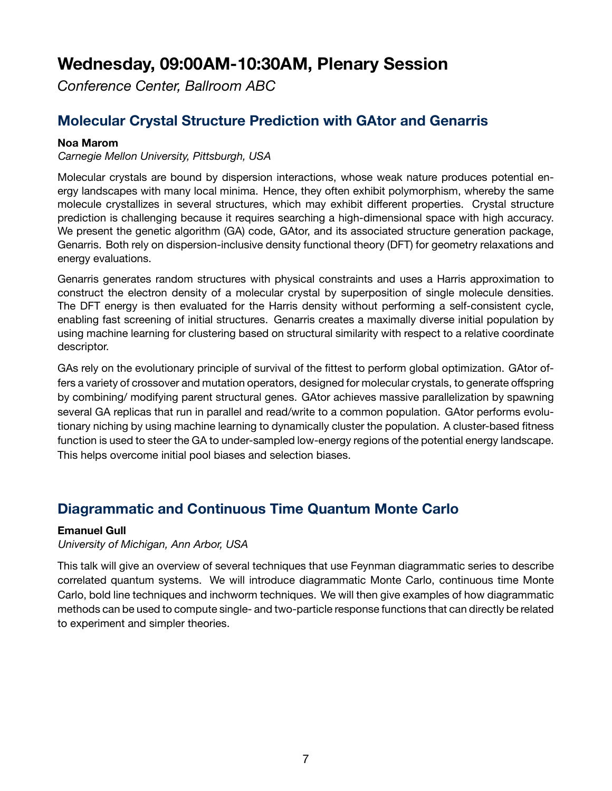## <span id="page-6-0"></span>**Wednesday, 09:00AM-10:30AM, Plenary Session**

*Conference Center, Ballroom ABC*

### <span id="page-6-1"></span>**Molecular Crystal Structure Prediction with GAtor and Genarris**

#### **Noa Marom**

*Carnegie Mellon University, Pittsburgh, USA*

Molecular crystals are bound by dispersion interactions, whose weak nature produces potential energy landscapes with many local minima. Hence, they often exhibit polymorphism, whereby the same molecule crystallizes in several structures, which may exhibit different properties. Crystal structure prediction is challenging because it requires searching a high-dimensional space with high accuracy. We present the genetic algorithm (GA) code, GAtor, and its associated structure generation package, Genarris. Both rely on dispersion-inclusive density functional theory (DFT) for geometry relaxations and energy evaluations.

Genarris generates random structures with physical constraints and uses a Harris approximation to construct the electron density of a molecular crystal by superposition of single molecule densities. The DFT energy is then evaluated for the Harris density without performing a self-consistent cycle, enabling fast screening of initial structures. Genarris creates a maximally diverse initial population by using machine learning for clustering based on structural similarity with respect to a relative coordinate descriptor.

GAs rely on the evolutionary principle of survival of the fittest to perform global optimization. GAtor offers a variety of crossover and mutation operators, designed for molecular crystals, to generate offspring by combining/ modifying parent structural genes. GAtor achieves massive parallelization by spawning several GA replicas that run in parallel and read/write to a common population. GAtor performs evolutionary niching by using machine learning to dynamically cluster the population. A cluster-based fitness function is used to steer the GA to under-sampled low-energy regions of the potential energy landscape. This helps overcome initial pool biases and selection biases.

### **Diagrammatic and Continuous Time Quantum Monte Carlo**

#### **Emanuel Gull**

*University of Michigan, Ann Arbor, USA*

This talk will give an overview of several techniques that use Feynman diagrammatic series to describe correlated quantum systems. We will introduce diagrammatic Monte Carlo, continuous time Monte Carlo, bold line techniques and inchworm techniques. We will then give examples of how diagrammatic methods can be used to compute single- and two-particle response functions that can directly be related to experiment and simpler theories.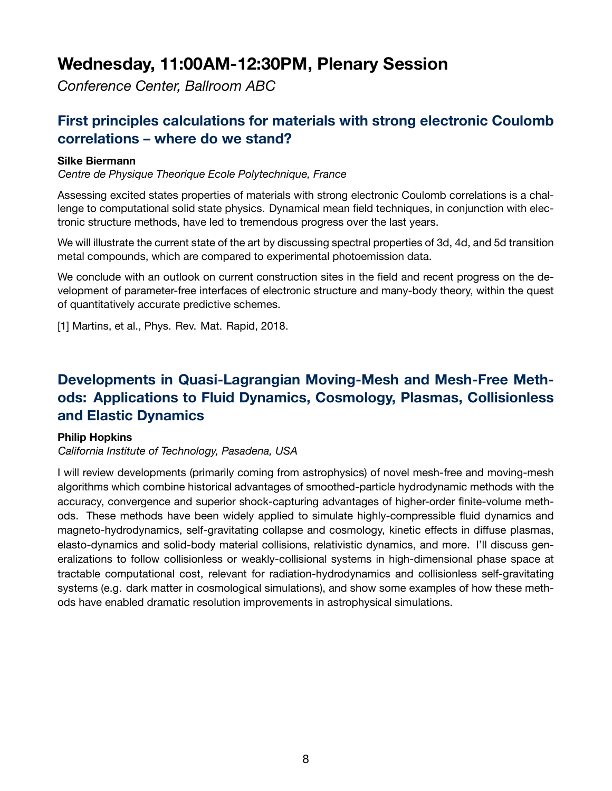## <span id="page-7-0"></span>**Wednesday, 11:00AM-12:30PM, Plenary Session**

*Conference Center, Ballroom ABC*

### <span id="page-7-1"></span>**First principles calculations for materials with strong electronic Coulomb correlations – where do we stand?**

#### **Silke Biermann**

*Centre de Physique Theorique Ecole Polytechnique, France*

Assessing excited states properties of materials with strong electronic Coulomb correlations is a challenge to computational solid state physics. Dynamical mean field techniques, in conjunction with electronic structure methods, have led to tremendous progress over the last years.

We will illustrate the current state of the art by discussing spectral properties of 3d, 4d, and 5d transition metal compounds, which are compared to experimental photoemission data.

We conclude with an outlook on current construction sites in the field and recent progress on the development of parameter-free interfaces of electronic structure and many-body theory, within the quest of quantitatively accurate predictive schemes.

[1] Martins, et al., Phys. Rev. Mat. Rapid, 2018.

### **Developments in Quasi-Lagrangian Moving-Mesh and Mesh-Free Methods: Applications to Fluid Dynamics, Cosmology, Plasmas, Collisionless and Elastic Dynamics**

#### **Philip Hopkins**

*California Institute of Technology, Pasadena, USA*

I will review developments (primarily coming from astrophysics) of novel mesh-free and moving-mesh algorithms which combine historical advantages of smoothed-particle hydrodynamic methods with the accuracy, convergence and superior shock-capturing advantages of higher-order finite-volume methods. These methods have been widely applied to simulate highly-compressible fluid dynamics and magneto-hydrodynamics, self-gravitating collapse and cosmology, kinetic effects in diffuse plasmas, elasto-dynamics and solid-body material collisions, relativistic dynamics, and more. I'll discuss generalizations to follow collisionless or weakly-collisional systems in high-dimensional phase space at tractable computational cost, relevant for radiation-hydrodynamics and collisionless self-gravitating systems (e.g. dark matter in cosmological simulations), and show some examples of how these methods have enabled dramatic resolution improvements in astrophysical simulations.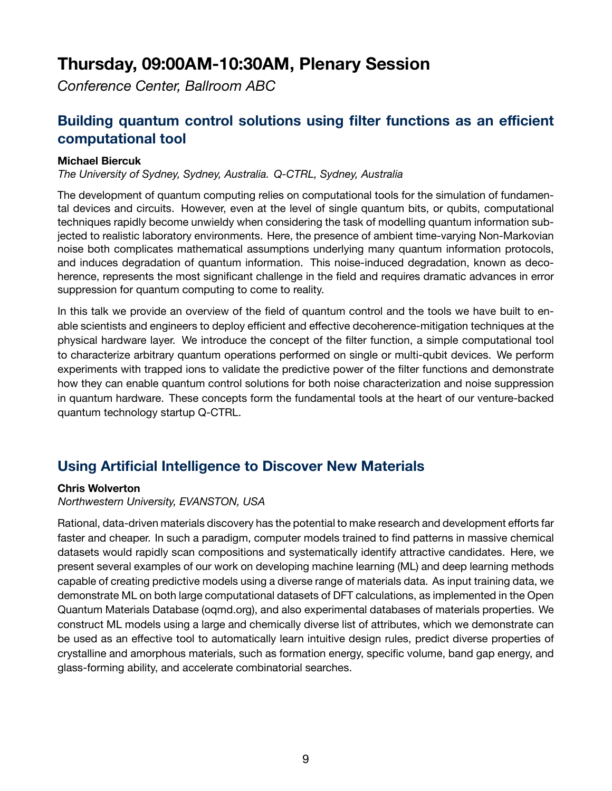## <span id="page-8-0"></span>**Thursday, 09:00AM-10:30AM, Plenary Session**

*Conference Center, Ballroom ABC*

### <span id="page-8-1"></span>**Building quantum control solutions using filter functions as an efficient computational tool**

#### **Michael Biercuk**

*The University of Sydney, Sydney, Australia. Q-CTRL, Sydney, Australia*

The development of quantum computing relies on computational tools for the simulation of fundamental devices and circuits. However, even at the level of single quantum bits, or qubits, computational techniques rapidly become unwieldy when considering the task of modelling quantum information subjected to realistic laboratory environments. Here, the presence of ambient time-varying Non-Markovian noise both complicates mathematical assumptions underlying many quantum information protocols, and induces degradation of quantum information. This noise-induced degradation, known as decoherence, represents the most significant challenge in the field and requires dramatic advances in error suppression for quantum computing to come to reality.

In this talk we provide an overview of the field of quantum control and the tools we have built to enable scientists and engineers to deploy efficient and effective decoherence-mitigation techniques at the physical hardware layer. We introduce the concept of the filter function, a simple computational tool to characterize arbitrary quantum operations performed on single or multi-qubit devices. We perform experiments with trapped ions to validate the predictive power of the filter functions and demonstrate how they can enable quantum control solutions for both noise characterization and noise suppression in quantum hardware. These concepts form the fundamental tools at the heart of our venture-backed quantum technology startup Q-CTRL.

### **Using Artificial Intelligence to Discover New Materials**

#### **Chris Wolverton**

*Northwestern University, EVANSTON, USA*

Rational, data-driven materials discovery has the potential to make research and development efforts far faster and cheaper. In such a paradigm, computer models trained to find patterns in massive chemical datasets would rapidly scan compositions and systematically identify attractive candidates. Here, we present several examples of our work on developing machine learning (ML) and deep learning methods capable of creating predictive models using a diverse range of materials data. As input training data, we demonstrate ML on both large computational datasets of DFT calculations, as implemented in the Open Quantum Materials Database (oqmd.org), and also experimental databases of materials properties. We construct ML models using a large and chemically diverse list of attributes, which we demonstrate can be used as an effective tool to automatically learn intuitive design rules, predict diverse properties of crystalline and amorphous materials, such as formation energy, specific volume, band gap energy, and glass-forming ability, and accelerate combinatorial searches.